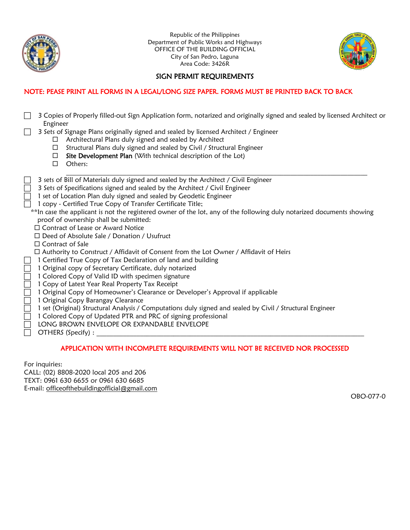

Republic of the Philippines Department of Public Works and Highways OFFICE OF THE BUILDING OFFICIAL City of San Pedro, Laguna Area Code: 3426R



## SIGN PERMIT REQUIREMENTS

## NOTE: PEASE PRINT ALL FORMS IN A LEGAL/LONG SIZE PAPER. FORMS MUST BE PRINTED BACK TO BACK

|                                                                                                                                                                    | 3 Copies of Properly filled-out Sign Application form, notarized and originally signed and sealed by licensed Architect or<br>Engineer                                                                                                                                                                                                                                                                                                                                                                                                                                                                                                                                                                                                                                                                                                                                                                                                                                                                                                                                                                                                                                                                                                                                                     |  |
|--------------------------------------------------------------------------------------------------------------------------------------------------------------------|--------------------------------------------------------------------------------------------------------------------------------------------------------------------------------------------------------------------------------------------------------------------------------------------------------------------------------------------------------------------------------------------------------------------------------------------------------------------------------------------------------------------------------------------------------------------------------------------------------------------------------------------------------------------------------------------------------------------------------------------------------------------------------------------------------------------------------------------------------------------------------------------------------------------------------------------------------------------------------------------------------------------------------------------------------------------------------------------------------------------------------------------------------------------------------------------------------------------------------------------------------------------------------------------|--|
|                                                                                                                                                                    | 3 Sets of Signage Plans originally signed and sealed by licensed Architect / Engineer<br>Architectural Plans duly signed and sealed by Architect<br>□<br>Structural Plans duly signed and sealed by Civil / Structural Engineer<br>□<br>Site Development Plan (With technical description of the Lot)<br>□<br>$\Box$<br>Others:                                                                                                                                                                                                                                                                                                                                                                                                                                                                                                                                                                                                                                                                                                                                                                                                                                                                                                                                                            |  |
| $\Box$<br>$\overline{\phantom{a}}$<br>$\overline{\phantom{a}}$<br>$\Box$<br>$\mathcal{L}_{\mathcal{A}}$<br>$\overline{\phantom{a}}$<br>$\mathcal{L}_{\mathcal{A}}$ | 3 sets of Bill of Materials duly signed and sealed by the Architect / Civil Engineer<br>3 Sets of Specifications signed and sealed by the Architect / Civil Engineer<br>1 set of Location Plan duly signed and sealed by Geodetic Engineer<br>1 copy - Certified True Copy of Transfer Certificate Title;<br>** In case the applicant is not the registered owner of the lot, any of the following duly notarized documents showing<br>proof of ownership shall be submitted:<br>□ Contract of Lease or Award Notice<br>□ Deed of Absolute Sale / Donation / Usufruct<br>$\Box$ Contract of Sale<br>$\Box$ Authority to Construct / Affidavit of Consent from the Lot Owner / Affidavit of Heirs<br>1 Certified True Copy of Tax Declaration of land and building<br>1 Original copy of Secretary Certificate, duly notarized<br>1 Colored Copy of Valid ID with specimen signature<br>1 Copy of Latest Year Real Property Tax Receipt<br>1 Original Copy of Homeowner's Clearance or Developer's Approval if applicable<br>1 Original Copy Barangay Clearance<br>1 set (Original) Structural Analysis / Computations duly signed and sealed by Civil / Structural Engineer<br>1 Colored Copy of Updated PTR and PRC of signing professional<br>LONG BROWN ENVELOPE OR EXPANDABLE ENVELOPE |  |
|                                                                                                                                                                    |                                                                                                                                                                                                                                                                                                                                                                                                                                                                                                                                                                                                                                                                                                                                                                                                                                                                                                                                                                                                                                                                                                                                                                                                                                                                                            |  |

## APPLICATION WITH INCOMPLETE REQUIREMENTS WILL NOT BE RECEIVED NOR PROCESSED

For inquiries: CALL: (02) 8808-2020 local 205 and 206 TEXT: 0961 630 6655 or 0961 630 6685 E-mail: [officeofthebuildingofficial@gmail.com](mailto:officeofthebuildingofficial@gmail.com)

OBO-077-0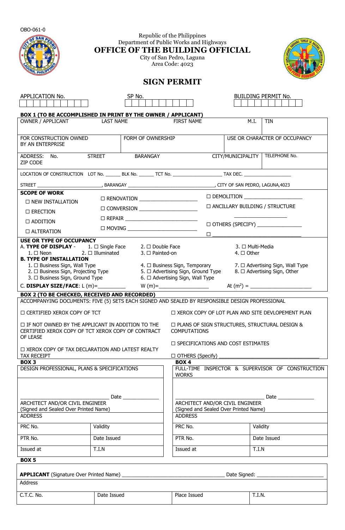| OBO-061-0                                                                                                                                                                                                                                                                                                                                                                                                                                                                                                      |               |                                                                                                                                                                                                                                                                                                                                                                                                                                                                                                                                                             |                                                                        |      |                                                    |  |  |  |  |  |
|----------------------------------------------------------------------------------------------------------------------------------------------------------------------------------------------------------------------------------------------------------------------------------------------------------------------------------------------------------------------------------------------------------------------------------------------------------------------------------------------------------------|---------------|-------------------------------------------------------------------------------------------------------------------------------------------------------------------------------------------------------------------------------------------------------------------------------------------------------------------------------------------------------------------------------------------------------------------------------------------------------------------------------------------------------------------------------------------------------------|------------------------------------------------------------------------|------|----------------------------------------------------|--|--|--|--|--|
| Republic of the Philippines<br>Department of Public Works and Highways<br><b>OFFICE OF THE BUILDING OFFICIAL</b><br>City of San Pedro, Laguna<br>Area Code: 4023                                                                                                                                                                                                                                                                                                                                               |               |                                                                                                                                                                                                                                                                                                                                                                                                                                                                                                                                                             |                                                                        |      |                                                    |  |  |  |  |  |
| <b>SIGN PERMIT</b>                                                                                                                                                                                                                                                                                                                                                                                                                                                                                             |               |                                                                                                                                                                                                                                                                                                                                                                                                                                                                                                                                                             |                                                                        |      |                                                    |  |  |  |  |  |
| APPLICATION No.                                                                                                                                                                                                                                                                                                                                                                                                                                                                                                |               | SP No.                                                                                                                                                                                                                                                                                                                                                                                                                                                                                                                                                      |                                                                        |      | <b>BUILDING PERMIT No.</b>                         |  |  |  |  |  |
| BOX 1 (TO BE ACCOMPLISHED IN PRINT BY THE OWNER / APPLICANT)<br>OWNER / APPLICANT LAST NAME                                                                                                                                                                                                                                                                                                                                                                                                                    |               |                                                                                                                                                                                                                                                                                                                                                                                                                                                                                                                                                             | <b>FIRST NAME</b>                                                      | M.I. | <b>TIN</b>                                         |  |  |  |  |  |
|                                                                                                                                                                                                                                                                                                                                                                                                                                                                                                                |               |                                                                                                                                                                                                                                                                                                                                                                                                                                                                                                                                                             |                                                                        |      |                                                    |  |  |  |  |  |
| FOR CONSTRUCTION OWNED<br>BY AN ENTERPRISE                                                                                                                                                                                                                                                                                                                                                                                                                                                                     |               | FORM OF OWNERSHIP                                                                                                                                                                                                                                                                                                                                                                                                                                                                                                                                           |                                                                        |      | USE OR CHARACTER OF OCCUPANCY                      |  |  |  |  |  |
| ADDRESS: No.<br>ZIP CODE                                                                                                                                                                                                                                                                                                                                                                                                                                                                                       | <b>STREET</b> | BARANGAY                                                                                                                                                                                                                                                                                                                                                                                                                                                                                                                                                    |                                                                        |      | CITY/MUNICIPALITY   TELEPHONE No.                  |  |  |  |  |  |
| LOCATION OF CONSTRUCTION LOT No. _________ BLK No. ________ TCT No. ________________________________ TAX DEC. _________________________                                                                                                                                                                                                                                                                                                                                                                        |               |                                                                                                                                                                                                                                                                                                                                                                                                                                                                                                                                                             |                                                                        |      |                                                    |  |  |  |  |  |
|                                                                                                                                                                                                                                                                                                                                                                                                                                                                                                                |               |                                                                                                                                                                                                                                                                                                                                                                                                                                                                                                                                                             |                                                                        |      |                                                    |  |  |  |  |  |
| <b>SCOPE OF WORK</b>                                                                                                                                                                                                                                                                                                                                                                                                                                                                                           |               | $\Box$ RENOVATION                                                                                                                                                                                                                                                                                                                                                                                                                                                                                                                                           |                                                                        |      | $\square$ DEMOLITION $\_\_\_\_\_\_\_\_\_\_$        |  |  |  |  |  |
| <b>D NEW INSTALLATION</b>                                                                                                                                                                                                                                                                                                                                                                                                                                                                                      |               | $\begin{tabular}{ c c c c } \hline $\quad \text{CONVERSION} & $\quad \text{---} & $\quad \text{---} & $\quad \text{---} & $\quad \text{---} & $\quad \text{---} & $\quad \text{---} & $\quad \text{---} & $\quad \text{---} & $\quad \text{---} & $\quad \text{---} & $\quad \text{---} & $\quad \text{---} & $\quad \text{---} & $\quad \text{---} & $\quad \text{---} & $\quad \text{---} & $\quad \text{---} & $\quad \text{---} & $\quad \text{---} & $\quad \text{---} & $\quad \text{---} & $\quad \text{---} & $\quad \text{---} & $\quad \text{---$ |                                                                        |      | □ ANCILLARY BUILDING / STRUCTURE                   |  |  |  |  |  |
| $\Box$ ERECTION                                                                                                                                                                                                                                                                                                                                                                                                                                                                                                |               | $\begin{tabular}{ c c c c } \hline $\quad$ & \text{REPAIR}\footnotesize\begin{tabular}{ c c c } \hline $\quad$ & $\quad$ & $\quad$ \\ \hline \end{tabular} \end{tabular}$                                                                                                                                                                                                                                                                                                                                                                                   |                                                                        |      |                                                    |  |  |  |  |  |
| $\Box$ ADDITION                                                                                                                                                                                                                                                                                                                                                                                                                                                                                                |               |                                                                                                                                                                                                                                                                                                                                                                                                                                                                                                                                                             |                                                                        |      | □ OTHERS (SPECIFY) ________________                |  |  |  |  |  |
| $\Box$ ALTERATION<br>USE OR TYPE OF OCCUPANCY                                                                                                                                                                                                                                                                                                                                                                                                                                                                  |               |                                                                                                                                                                                                                                                                                                                                                                                                                                                                                                                                                             | $\Box$                                                                 |      |                                                    |  |  |  |  |  |
| A. <b>TYPE OF DISPLAY</b> - 1. $\Box$ Single Face 2. $\Box$ Double Face 1. $\Box$ Neon 2. $\Box$ Illuminated 3. $\Box$ Painted-on<br>3. □ Multi-Media<br>$4. \Box$ Other<br><b>B. TYPE OF INSTALLATION</b><br>1. □ Business Sign, Wall Type<br>4. □ Business Sign, Temporary<br>7. □ Advertising Sign, Wall Type<br>2. □ Business Sign, Projecting Type<br>5. $\Box$ Advertising Sign, Ground Type<br>8. □ Advertising Sign, Other<br>3. □ Business Sign, Ground Type<br>6. $\Box$ Advertising Sign, Wall Type |               |                                                                                                                                                                                                                                                                                                                                                                                                                                                                                                                                                             |                                                                        |      |                                                    |  |  |  |  |  |
| BOX 2 (TO BE CHECKED, RECEIVED AND RECORDED)<br>ACCOMPANYING DOCUMENTS: FIVE (5) SETS EACH SIGNED AND SEALED BY RESPONSIBLE DESIGN PROFESSIONAL                                                                                                                                                                                                                                                                                                                                                                |               |                                                                                                                                                                                                                                                                                                                                                                                                                                                                                                                                                             |                                                                        |      |                                                    |  |  |  |  |  |
| $\Box$ CERTIFIED XEROX COPY OF TCT                                                                                                                                                                                                                                                                                                                                                                                                                                                                             |               |                                                                                                                                                                                                                                                                                                                                                                                                                                                                                                                                                             |                                                                        |      | □ XEROX COPY OF LOT PLAN AND SITE DEVLOPEMENT PLAN |  |  |  |  |  |
| $\Box$ IF NOT OWNED BY THE APPLICANT IN ADDITION TO THE<br>CERTIFIED XEROX COPY OF TCT XEROX COPY OF CONTRACT<br>OF LEASE                                                                                                                                                                                                                                                                                                                                                                                      |               |                                                                                                                                                                                                                                                                                                                                                                                                                                                                                                                                                             | □ PLANS OF SIGN STRUCTURES, STRUCTURAL DESIGN &<br><b>COMPUTATIONS</b> |      |                                                    |  |  |  |  |  |
| $\Box$ XEROX COPY OF TAX DECLARATION AND LATEST REALTY<br>TAX RECEIPT                                                                                                                                                                                                                                                                                                                                                                                                                                          |               |                                                                                                                                                                                                                                                                                                                                                                                                                                                                                                                                                             | $\Box$ SPECIFICATIONS AND COST ESTIMATES                               |      |                                                    |  |  |  |  |  |
| BOX <sub>3</sub>                                                                                                                                                                                                                                                                                                                                                                                                                                                                                               |               |                                                                                                                                                                                                                                                                                                                                                                                                                                                                                                                                                             | BOX 4                                                                  |      |                                                    |  |  |  |  |  |
| DESIGN PROFESSIONAL, PLANS & SPECIFICATIONS<br>FULL-TIME INSPECTOR & SUPERVISOR OF CONSTRUCTION<br><b>WORKS</b>                                                                                                                                                                                                                                                                                                                                                                                                |               |                                                                                                                                                                                                                                                                                                                                                                                                                                                                                                                                                             |                                                                        |      |                                                    |  |  |  |  |  |
| ARCHITECT AND/OR CIVIL ENGINEER                                                                                                                                                                                                                                                                                                                                                                                                                                                                                | Data          | ARCHITECT AND/OR CIVIL ENGINEER                                                                                                                                                                                                                                                                                                                                                                                                                                                                                                                             |                                                                        |      |                                                    |  |  |  |  |  |
| (Signed and Sealed Over Printed Name)<br><b>ADDRESS</b>                                                                                                                                                                                                                                                                                                                                                                                                                                                        |               | (Signed and Sealed Over Printed Name)<br><b>ADDRESS</b>                                                                                                                                                                                                                                                                                                                                                                                                                                                                                                     |                                                                        |      |                                                    |  |  |  |  |  |
| PRC No.                                                                                                                                                                                                                                                                                                                                                                                                                                                                                                        | Validity      |                                                                                                                                                                                                                                                                                                                                                                                                                                                                                                                                                             | PRC No.                                                                |      | Validity                                           |  |  |  |  |  |
|                                                                                                                                                                                                                                                                                                                                                                                                                                                                                                                |               |                                                                                                                                                                                                                                                                                                                                                                                                                                                                                                                                                             |                                                                        |      |                                                    |  |  |  |  |  |
| PTR No.                                                                                                                                                                                                                                                                                                                                                                                                                                                                                                        | Date Issued   |                                                                                                                                                                                                                                                                                                                                                                                                                                                                                                                                                             | PTR No.                                                                |      | Date Issued                                        |  |  |  |  |  |
| Issued at                                                                                                                                                                                                                                                                                                                                                                                                                                                                                                      | T.I.N         |                                                                                                                                                                                                                                                                                                                                                                                                                                                                                                                                                             | Issued at                                                              |      | $\overline{T}$ .I.N                                |  |  |  |  |  |
| BOX <sub>5</sub>                                                                                                                                                                                                                                                                                                                                                                                                                                                                                               |               |                                                                                                                                                                                                                                                                                                                                                                                                                                                                                                                                                             |                                                                        |      |                                                    |  |  |  |  |  |
|                                                                                                                                                                                                                                                                                                                                                                                                                                                                                                                |               |                                                                                                                                                                                                                                                                                                                                                                                                                                                                                                                                                             |                                                                        |      |                                                    |  |  |  |  |  |
| <b>Address</b>                                                                                                                                                                                                                                                                                                                                                                                                                                                                                                 |               |                                                                                                                                                                                                                                                                                                                                                                                                                                                                                                                                                             |                                                                        |      |                                                    |  |  |  |  |  |
| C.T.C. No.                                                                                                                                                                                                                                                                                                                                                                                                                                                                                                     | Date Issued   |                                                                                                                                                                                                                                                                                                                                                                                                                                                                                                                                                             | Place Issued                                                           |      | T.I.N.                                             |  |  |  |  |  |